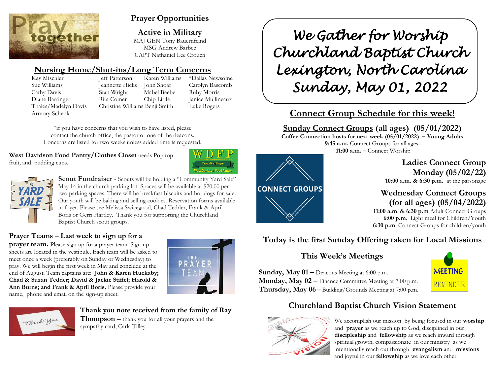

# **Prayer Opportunities**

**Active in Military**

MAJ GEN Tony Bauernfeind MSG Andrew Barbee CAPT Nathaniel Lee Crouch

# **Nursing Home/Shut-ins/Long Term Concerns**

Kay Mischler Jeff Patterson Karen Williams \*Dallas Newsome Armory Schenk

Sue Williams Jeannette Hicks John Shoaf Carolyn Bascomb Cathy Davis Stan Wright Mabel Beebe Ruby Morris Diane Barringer Rita Comer Chip Little Janice Mullineaux Thales/Madelyn Davis Christine Williams Benji Smith Luke Rogers

\*if you have concerns that you wish to have listed, please contact the church office, the pastor or one of the deacons. Concerns are listed for two weeks unless added time is requested.

**West Davidson Food Pantry/Clothes Closet needs Pop top** fruit, and pudding cups.





**Scout Fundraiser** - Scouts will be holding a "Community Yard Sale" May 14 in the church parking lot. Spaces will be available at \$20.00 per two parking spaces. There will be breakfast biscuits and hot dogs for sale. Our youth will be baking and selling cookies. Reservation forms available in foyer. Please see Melissa Swicegood, Chad Tedder, Frank & April Boris or Gerri Hartley. Thank you for supporting the Churchland Baptist Church scout groups.

### **Prayer Teams – Last week to sign up for a**

**prayer team.** Please sign up for a prayer team. Sign-up sheets are located in the vestibule. Each team will be asked to meet once a week (preferably on Sunday or Wednesday) to pray. We will begin the first week in May and conclude at the end of August. Team captains are: **John & Karen Huckaby; Chad & Suzan Tedder; David & Jackie Stiffel; Harold & Ann Burns; and Frank & April Boris.** Please provide your name, phone and email on the sign-up sheet.





**Thank you note received from the family of Ray Thompson** – thank you for all your prayers and the sympathy card, Carla Tilley

*We Gather for Worship Churchland Baptist Church Lexington, North Carolina Sunday, May 01, 2022* 

# **Connect Group Schedule for this week!**

**Sunday Connect Groups (all ages) (05/01/2022)**

**Coffee Connection hosts for next week (05/01/2022) – Young Adults 9:45 a.m.** Connect Groups for all ages**. 11:00 a.m. –** Connect Worship



**Ladies Connect Group Monday (05/02/22) 10:00 a.m. & 6:30 p.m.** at the parsonage

**Wednesday Connect Groups (for all ages) (05/04/2022)**

 **11:00 a.m**. & **6:30 p.m** Adult Connect Groups  **6:00 p.m**. Light meal for Children/Youth **6:30 p.m**. Connect Groups for children/youth

# **Today is the first Sunday Offering taken for Local Missions**

# **This Week's Meetings**

**Sunday, May 01 –** Deacons Meeting at 6:00 p.m. **Monday, May 02 –** Finance Committee Meeting at 7:00 p.m. **Thursday, May 06 –** Building/Grounds Meeting at 7:00 p.m.



# **Churchland Baptist Church Vision Statement**



We accomplish our mission by being focused in our **worship** and **prayer** as we reach up to God, disciplined in our **discipleship** and **fellowship** as we reach inward through spiritual growth, compassionate in our ministry as we intentionally reach out through **evangelism** and **missions** and joyful in our **fellowship** as we love each other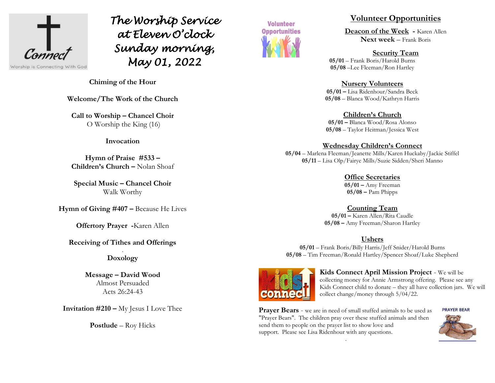

*The Worship Service at Eleven O'clock Sunday morning, May 01, 2022*



### **Volunteer Opportunities**

**Deacon of the Week -** Karen Allen **Next week** – Frank Boris

**Security Team 05/01** – Frank Boris/Harold Burns **05/08** –Lee Fleeman/Ron Hartley

#### **Nursery Volunteers**

**05/01 –** Lisa Ridenhour/Sandra Beck **05/08** – Blanca Wood/Kathryn Harris

**Children's Church 05/01 –** Blanca Wood/Rosa Alonso **05/08** – Taylor Heitman/Jessica West

#### **Wednesday Children's Connect**

**05/04** – Marlena Fleeman/Jeanette Mills/Karen Huckaby/Jackie Stiffel **05/11** – Lisa Olp/Fairye Mills/Suzie Sidden/Sheri Manno

> **Office Secretaries 05/01 –** Amy Freeman **05/08 –** Pam Phipps

**Counting Team**

**05/01 –** Karen Allen/Rita Caudle **05/08 –** Amy Freeman/Sharon Hartley

## **Ushers**

**05/01** – Frank Boris/Billy Harris/Jeff Snider/Harold Burns **05/08** – Tim Freeman/Ronald Hartley/Spencer Shoaf/Luke Shepherd



**Kids Connect April Mission Project** - We will be collecting money for Annie Armstrong offering. Please see any Kids Connect child to donate – they all have collection jars. We will collect change/money through 5/04/22.

**Prayer Bears** - we are in need of small stuffed animals to be used as "Prayer Bears". The children pray over these stuffed animals and then send them to people on the prayer list to show love and support. Please see Lisa Ridenhour with any questions.

.



**Chiming of the Hour**

**Welcome/The Work of the Church**

**Call to Worship – Chancel Choir** O Worship the King (16)

#### **Invocation**

**Hymn of Praise #533 – Children's Church –** Nolan Shoaf

**Special Music – Chancel Choir** Walk Worthy

**Hymn of Giving #407 –** Because He Lives

**Offertory Prayer -**Karen Allen

### **Receiving of Tithes and Offerings**

#### . **Doxology**

**Message – David Wood** Almost Persuaded Acts 26:24-43

**Invitation #210 –** My Jesus I Love Thee

**Postlude** – Roy Hicks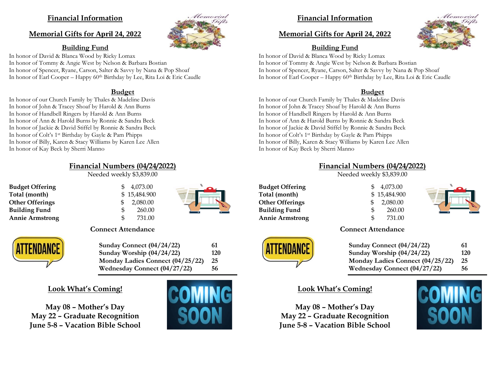### **Financial Information**

#### **Memorial Gifts for April 24, 2022**



#### **Building Fund**

In honor of David & Blanca Wood by Ricky Lomax In honor of Tommy & Angie West by Nelson & Barbara Bostian In honor of Spencer, Ryane, Carson, Salter & Savvy by Nana & Pop Shoaf In honor of Earl Cooper – Happy 60<sup>th</sup> Birthday by Lee, Rita Loi & Eric Caudle

#### **Budget**

In honor of our Church Family by Thales & Madeline Davis In honor of John & Tracey Shoaf by Harold & Ann Burns In honor of Handbell Ringers by Harold & Ann Burns In honor of Ann & Harold Burns by Ronnie & Sandra Beck In honor of Jackie & David Stiffel by Ronnie & Sandra Beck In honor of Colt's 1st Birthday by Gayle & Pam Phipps In honor of Billy, Karen & Stacy Williams by Karen Lee Allen In honor of Kay Beck by Sherri Manno

## **Financial Numbers (04/24/2022)**

Needed weekly \$3,839.00

**Budget Offering**   $\qquad$  \$ 4,073.00 **Total (month)** \$ 15,484.900 **Other Offerings**  $\qquad$  \$ 2,080.00 **Building Fund** \$ 260.00 **Annie Armstrong**  $\qquad \qquad$  **\$ 731.00** 

ATTENDAN



#### **Connect Attendance**

| Sunday Connect (04/24/22)        | 61  |
|----------------------------------|-----|
| Sunday Worship (04/24/22)        | 120 |
| Monday Ladies Connect (04/25/22) | 25  |
| Wednesday Connect (04/27/22)     | 56  |

### **Look What's Coming!**

**May 08 – Mother's Day May 22 – Graduate Recognition June 5-8 – Vacation Bible School**



# **Financial Information**

### **Memorial Gifts for April 24, 2022**

# **Building Fund**

In honor of David & Blanca Wood by Ricky Lomax In honor of Tommy & Angie West by Nelson & Barbara Bostian In honor of Spencer, Ryane, Carson, Salter & Savvy by Nana & Pop Shoaf In honor of Earl Cooper – Happy 60<sup>th</sup> Birthday by Lee, Rita Loi & Eric Caudle

#### **Budget**

In honor of our Church Family by Thales & Madeline Davis In honor of John & Tracey Shoaf by Harold & Ann Burns In honor of Handbell Ringers by Harold & Ann Burns In honor of Ann & Harold Burns by Ronnie & Sandra Beck In honor of Jackie & David Stiffel by Ronnie & Sandra Beck In honor of Colt's 1st Birthday by Gayle & Pam Phipps In honor of Billy, Karen & Stacy Williams by Karen Lee Allen In honor of Kay Beck by Sherri Manno

### **Financial Numbers (04/24/2022)**

Needed weekly \$3,839.00

**Budget Offering**   $\qquad$  \$ 4,073.00 **Total (month)** \$ 15,484.900 **Other Offerings**  $\qquad$  \$ 2,080.00 **Building Fund** \$ 260.00 **Annie Armstrong** \$ 731.00



**Connect Attendance Sunday Connect (04/24/22) 61 Sunday Worship (04/24/22) 120 Monday Ladies Connect (04/25/22) 25 Wednesday Connect (04/27/22) 56**

# **Look What's Coming!**

**May 08 – Mother's Day May 22 – Graduate Recognition June 5-8 – Vacation Bible School**